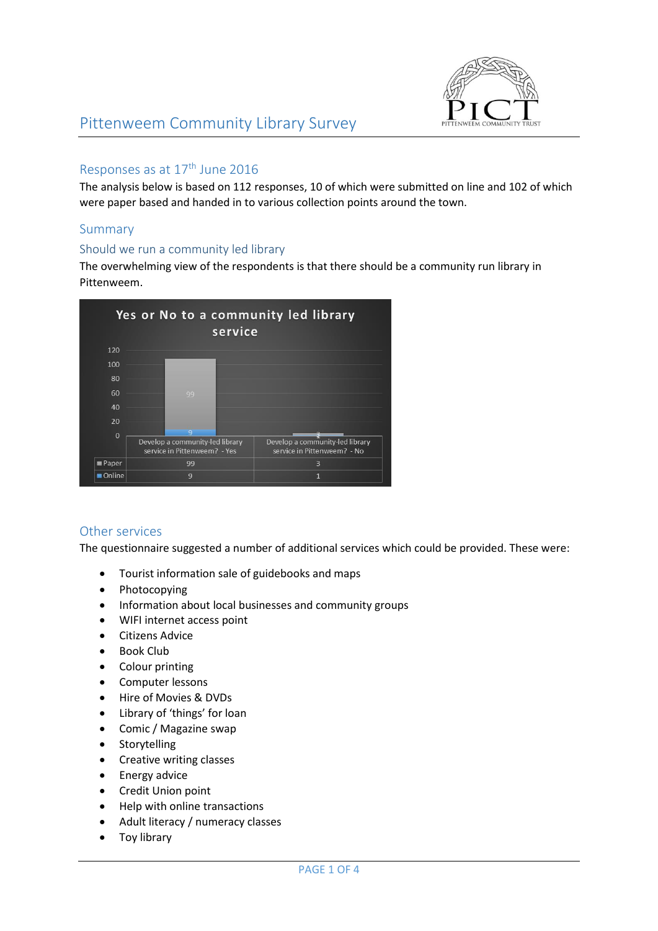

#### Responses as at 17<sup>th</sup> June 2016

The analysis below is based on 112 responses, 10 of which were submitted on line and 102 of which were paper based and handed in to various collection points around the town.

## Summary

#### Should we run a community led library

The overwhelming view of the respondents is that there should be a community run library in Pittenweem.



## Other services

The questionnaire suggested a number of additional services which could be provided. These were:

- Tourist information sale of guidebooks and maps
- Photocopying
- Information about local businesses and community groups
- WIFI internet access point
- Citizens Advice
- Book Club
- Colour printing
- Computer lessons
- Hire of Movies & DVDs
- Library of 'things' for loan
- Comic / Magazine swap
- Storytelling
- Creative writing classes
- Energy advice
- Credit Union point
- Help with online transactions
- Adult literacy / numeracy classes
- Toy library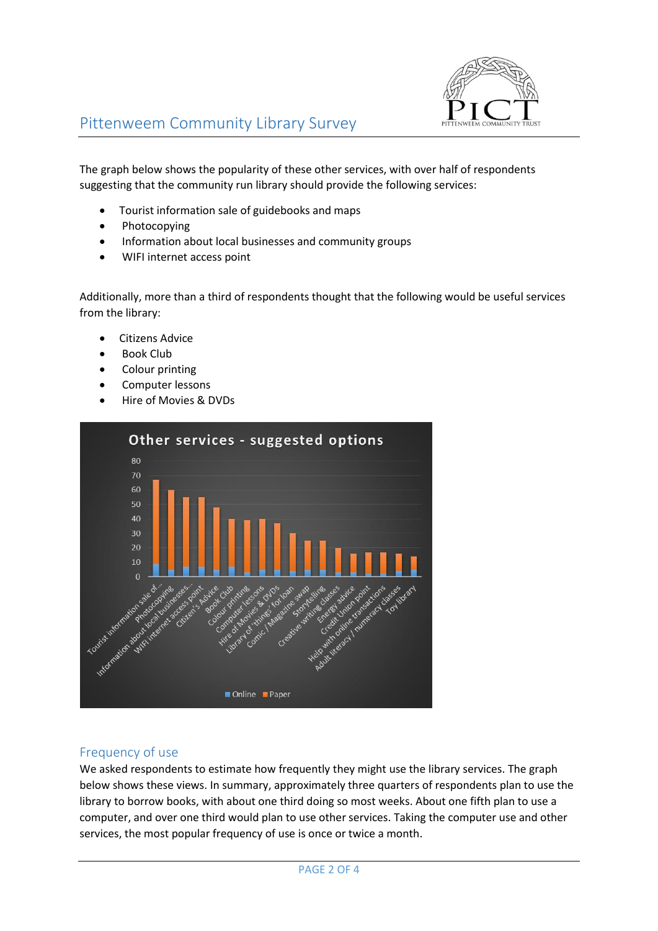

The graph below shows the popularity of these other services, with over half of respondents suggesting that the community run library should provide the following services:

- Tourist information sale of guidebooks and maps
- Photocopying
- Information about local businesses and community groups
- WIFI internet access point

Additionally, more than a third of respondents thought that the following would be useful services from the library:

- Citizens Advice
- Book Club
- Colour printing
- Computer lessons
- Hire of Movies & DVDs



## Frequency of use

We asked respondents to estimate how frequently they might use the library services. The graph below shows these views. In summary, approximately three quarters of respondents plan to use the library to borrow books, with about one third doing so most weeks. About one fifth plan to use a computer, and over one third would plan to use other services. Taking the computer use and other services, the most popular frequency of use is once or twice a month.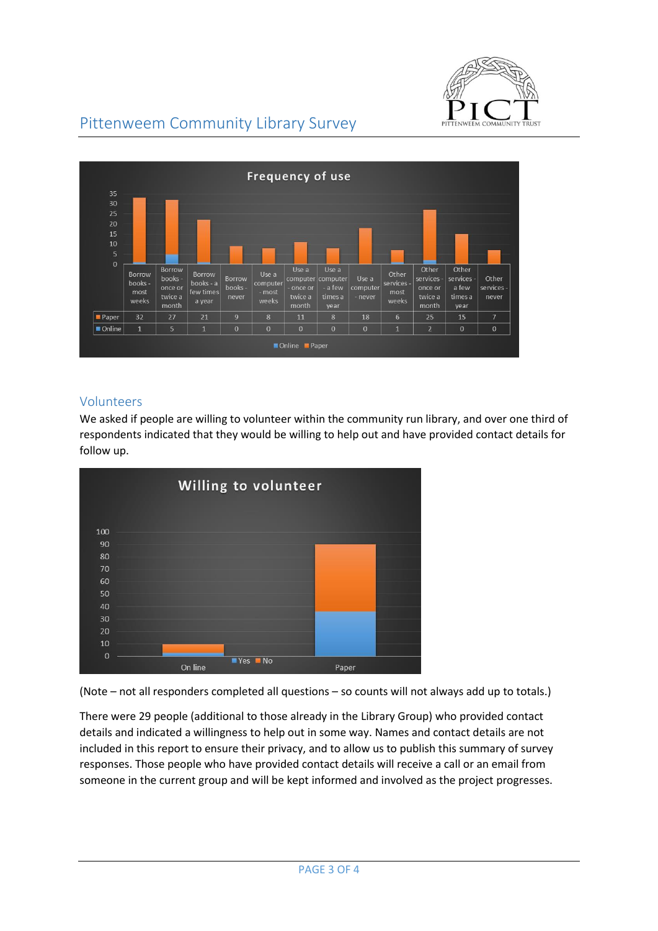

# Pittenweem Community Library Survey



#### Volunteers

We asked if people are willing to volunteer within the community run library, and over one third of respondents indicated that they would be willing to help out and have provided contact details for follow up.



(Note – not all responders completed all questions – so counts will not always add up to totals.)

There were 29 people (additional to those already in the Library Group) who provided contact details and indicated a willingness to help out in some way. Names and contact details are not included in this report to ensure their privacy, and to allow us to publish this summary of survey responses. Those people who have provided contact details will receive a call or an email from someone in the current group and will be kept informed and involved as the project progresses.